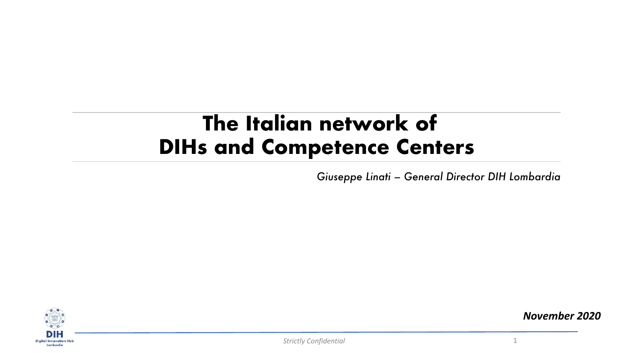## **The Italian network of DIHs and Competence Centers**

*Giuseppe Linati – General Director DIH Lombardia*



*November 2020*

*Strictly Confidential* 1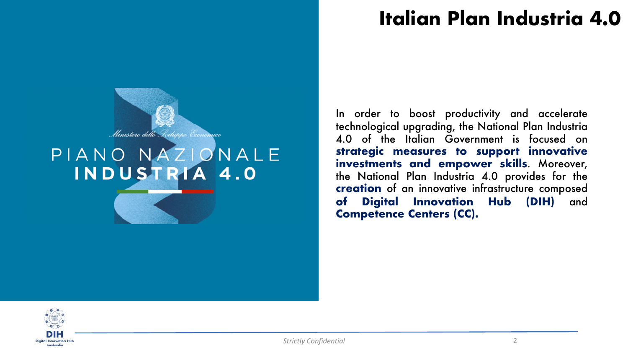## **Italian Plan Industria 4.0**



## PIANO NAZIONALE INDUSTRIA 4.0

In order to boost productivity and accelerate technological upgrading, the National Plan Industria 4.0 of the Italian Government is focused on **strategic measures to support innovative investments and empower skills**. Moreover, the National Plan Industria 4.0 provides for the **creation** of an innovative infrastructure composed **of Digital Innovation Hub (DIH)** and **Competence Centers (CC).**

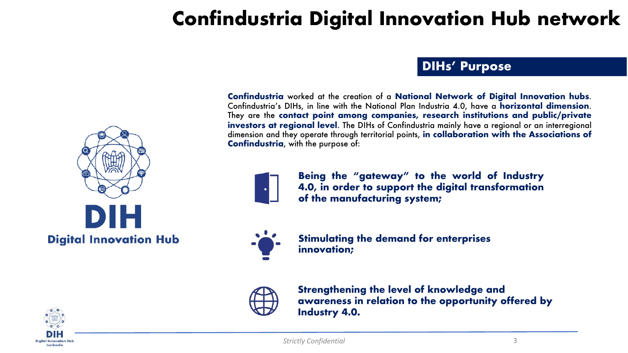

**DIHs' Purpose**

**Confindustria** worked at the creation of a **National Network of Digital Innovation hubs**. Confindustria's DIHs, in line with the National Plan Industria 4.0, have a **horizontal dimension**. They are the **contact point among companies, research institutions and public/private investors at regional level**. The DIHs of Confindustria mainly have a regional or an interregional dimension and they operate through territorial points, **in collaboration with the Associations of Confindustria**, with the purpose of:



**Being the "gateway" to the world of Industry 4.0, in order to support the digital transformation of the manufacturing system;**



**Stimulating the demand for enterprises innovation;** 



**Strengthening the level of knowledge and awareness in relation to the opportunity offered by Industry 4.0.** 



*Strictly Confidential* 3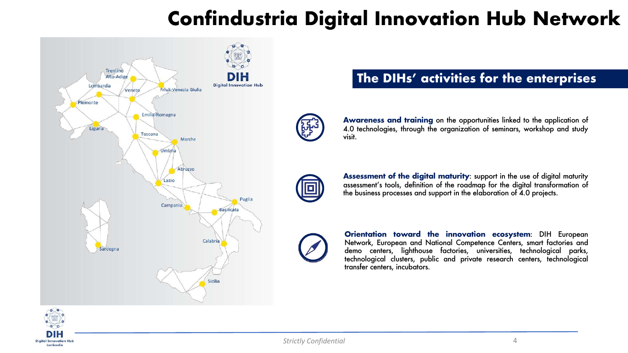

### **The DIHs' activities for the enterprises**



**Awareness and training** on the opportunities linked to the application of 4.0 technologies, through the organization of seminars, workshop and study visit.



**Assessment of the digital maturity**: support in the use of digital maturity assessment's tools, definition of the roadmap for the digital transformation of the business processes and support in the elaboration of 4.0 projects.



**Orientation toward the innovation ecosystem**: DIH European Network, European and National Competence Centers, smart factories and demo centers, lighthouse factories, universities, technological parks, technological clusters, public and private research centers, technological transfer centers, incubators.

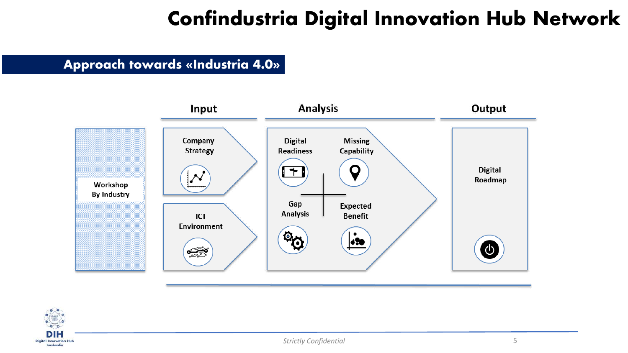#### **Approach towards «Industria 4.0»**



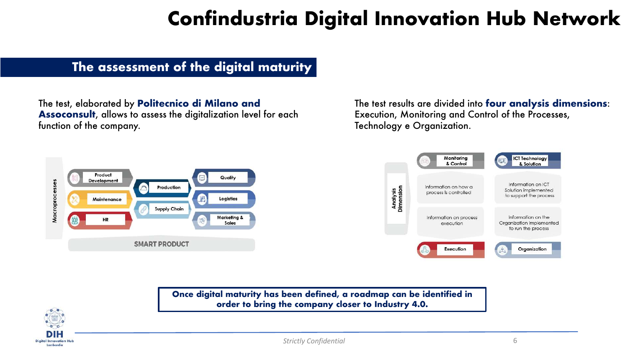#### **The assessment of the digital maturity**

The test, elaborated by **Politecnico di Milano and Assoconsult**, allows to assess the digitalization level for each function of the company.

The test results are divided into **four analysis dimensions**: Execution, Monitoring and Control of the Processes, Technology e Organization.



**Once digital maturity has been defined, a roadmap can be identified in order to bring the company closer to Industry 4.0.** 

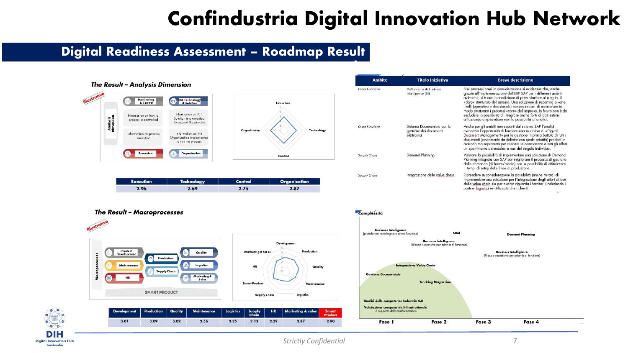**Ambito** 

**example**

#### **Digital Readiness Assessment – Roadmap Result**



**Execution** 

2.96

**DIH Digital Innovation Hub** Lombardia



Organization

2.87

| Cross Funzione | Piattaforma di Business<br>Intelligence (BI)                        | Nei processi presi in considerazione si evidenzia che, anche<br>grazie all'implementazione dell'ERP SAP per i differenti ambiti<br>aziendali, si è ora in condizione di poter sfruttare al meglio il<br>«dato» strutturato del sistema. Una soluzione di reportina a varie<br>livelli (operativo e decisionale) consentirebbe di monitorare in<br>modo strutturato i processi «core» dell'impresa. In futuro non è da<br>escludere la possibilità di integrare anche fonti di dati esterni<br>all'azienda ampliandone così la possibilità di analisi. |  |  |  |  |
|----------------|---------------------------------------------------------------------|-------------------------------------------------------------------------------------------------------------------------------------------------------------------------------------------------------------------------------------------------------------------------------------------------------------------------------------------------------------------------------------------------------------------------------------------------------------------------------------------------------------------------------------------------------|--|--|--|--|
| Cross Funzione | Sistema Documentale per la<br>gestione dei documenti<br>elettronici | Anche per gli ambiti non coperti dal sistema SAP l'analisi<br>evidenzia l'opportunità di lanciare una iniziativa di «Digital<br>Document Management» per la gestione in prima battuta di tutti i<br>documenti (ovviamente da definire con quale priorità) prodotti in<br>azienda ma soprattutto per rendere la conoscenza a tutti gli effetti<br>un «patrimonio aziendale» e non del singolo individuo.                                                                                                                                               |  |  |  |  |
| Supply Chain   | Demand Planning                                                     | Valutare la possibilità di implementare una soluzione di Demand<br>Planning integrata con SAP per migliorare il processo di gestione<br>della domanda (di breve/medio) con la possibilità di ottimizzare<br>i tempi di setup delle linee di produzione                                                                                                                                                                                                                                                                                                |  |  |  |  |
| Supply Chain   | Integrazione delle value chain                                      | Riprendere in considerazione la possibilità (anche mirata) di<br>implementare una soluzione per l'integrazione degli attori chiave<br>della value chain sia per quanto riguarda i fornitori (includendo i<br>partner logisitici se utilizzatil che i clienti.                                                                                                                                                                                                                                                                                         |  |  |  |  |

**Titolo Iniziativa** 



Control  $2.75$ 





**Technolog** 

2.69

|      |      |      |      |      |      |      | Development Production Quality Maintenance Logistics Supply HR Marketing & sales Smart |      |
|------|------|------|------|------|------|------|----------------------------------------------------------------------------------------|------|
| 3.01 | 3.09 | 3.02 | 2.56 | 2.25 | 2.12 | 2.39 | 2.87                                                                                   | 2.90 |

Quality

Maintenance

Logistics

**Breve descrizione** 

49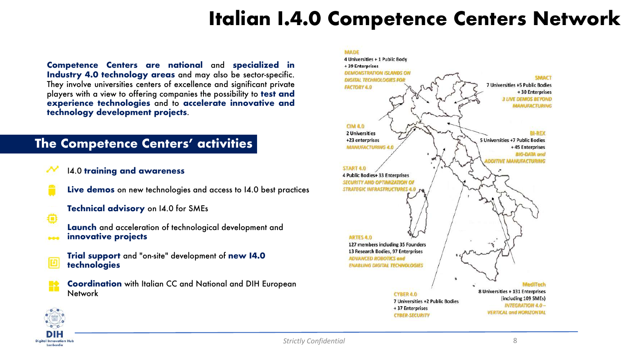## **Italian I.4.0 Competence Centers Network**

**Competence Centers are national** and **specialized in Industry 4.0 technology areas** and may also be sector-specific. They involve universities centers of excellence and significant private players with a view to offering companies the possibility to **test and experience technologies** and to **accelerate innovative and technology development projects**.

#### **The Competence Centers' activities**

- I4.0 **training and awareness**
	- **Live demos** on new technologies and access to I4.0 best practices
		- **Technical advisory** on I4.0 for SMEs
		- **Launch** and acceleration of technological development and **innovative projects**



Ð

- **Trial support** and "on-site" development of **new I4.0 technologies**
- **Coordination** with Italian CC and National and DIH European Network



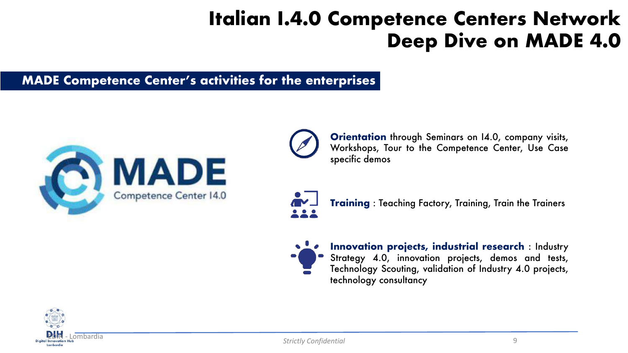## **Italian I.4.0 Competence Centers Network Deep Dive on MADE 4.0**

#### **MADE Competence Center's activities for the enterprises**



**Orientation** through Seminars on 14.0, company visits, Workshops, Tour to the Competence Center, Use Case specific demos



**Training** : Teaching Factory, Training, Train the Trainers



**Innovation projects, industrial research** : Industry Strategy 4.0, innovation projects, demos and tests, Technology Scouting, validation of Industry 4.0 projects, technology consultancy

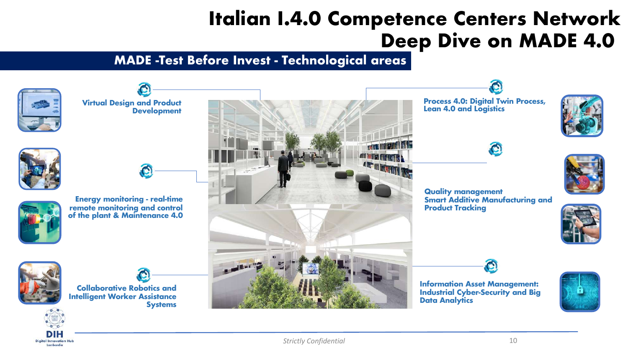## **Italian I.4.0 Competence Centers Network Deep Dive on MADE 4.0**

### **MADE -Test Before Invest - Technological areas**

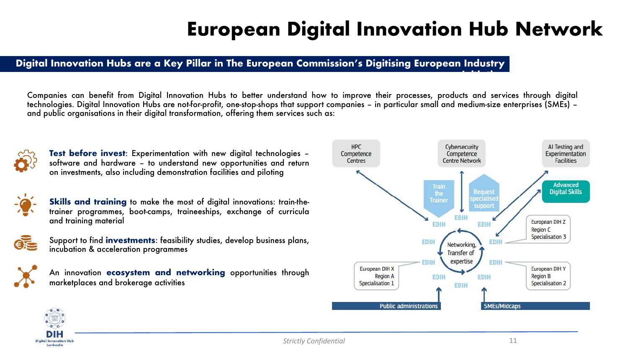## **European Digital Innovation Hub Network**

#### Digital Innovation Hubs are a Key Pillar in The European Commission's Digitising European Industry

Companies can benefit from Digital Innovation Hubs to better understand how to improve their processes, products and services through digital technologies. Digital Innovation Hubs are not-for-profit, one-stop-shops that support companies – in particular small and medium-size enterprises (SMEs) – and public organisations in their digital transformation, offering them services such as:



**Test before invest**: Experimentation with new digital technologies – software and hardware – to understand new opportunities and return on investments, also including demonstration facilities and piloting



**Skills and training** to make the most of digital innovations: train-thetrainer programmes, boot-camps, traineeships, exchange of curricula and training material



Support to find **investments**: feasibility studies, develop business plans, incubation & acceleration programmes



An innovation **ecosystem and networking** opportunities through marketplaces and brokerage activities



**Initiative**